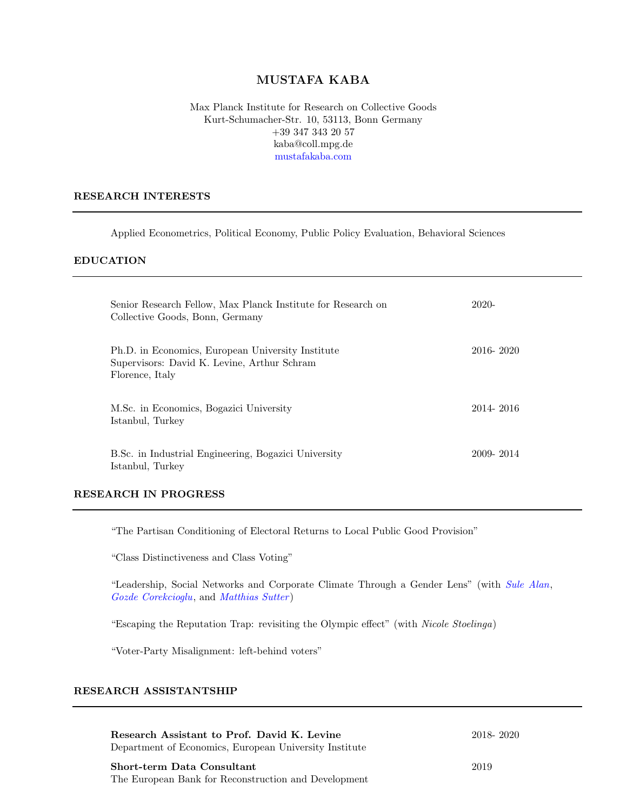# MUSTAFA KABA

Max Planck Institute for Research on Collective Goods Kurt-Schumacher-Str. 10, 53113, Bonn Germany +39 347 343 20 57 kaba@coll.mpg.de [mustafakaba.com](https://www.mustafakaba.com)

#### RESEARCH INTERESTS

Applied Econometrics, Political Economy, Public Policy Evaluation, Behavioral Sciences

### EDUCATION

| Senior Research Fellow, Max Planck Institute for Research on<br>Collective Goods, Bonn, Germany                     | $2020-$   |
|---------------------------------------------------------------------------------------------------------------------|-----------|
| Ph.D. in Economics, European University Institute<br>Supervisors: David K. Levine, Arthur Schram<br>Florence, Italy | 2016-2020 |
| M.Sc. in Economics, Bogazici University<br>Istanbul, Turkey                                                         | 2014-2016 |
| B.Sc. in Industrial Engineering, Bogazici University<br>Istanbul, Turkey                                            | 2009-2014 |

### RESEARCH IN PROGRESS

"The Partisan Conditioning of Electoral Returns to Local Public Good Provision"

"Class Distinctiveness and Class Voting"

"Leadership, Social Networks and Corporate Climate Through a Gender Lens" (with [Sule Alan](https://sulealan.com/), [Gozde Corekcioglu](https://www.gozdecorekcioglu.com/), and [Matthias Sutter](https://www.coll.mpg.de/matthias-sutter) )

"Escaping the Reputation Trap: revisiting the Olympic effect" (with Nicole Stoelinga)

"Voter-Party Misalignment: left-behind voters"

### RESEARCH ASSISTANTSHIP

| Research Assistant to Prof. David K. Levine            | 2018-2020 |
|--------------------------------------------------------|-----------|
| Department of Economics, European University Institute |           |
| Short-term Data Consultant                             | 2019      |
| The European Bank for Reconstruction and Development   |           |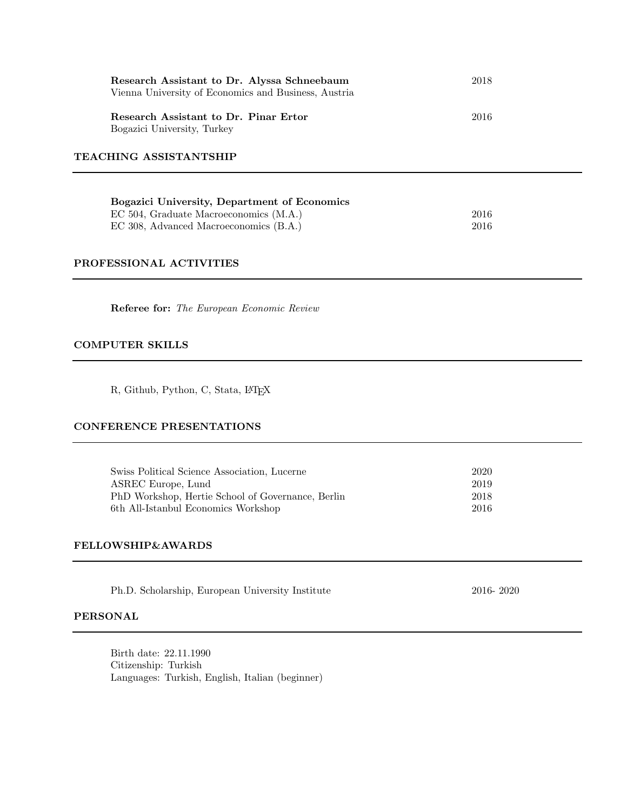| Research Assistant to Dr. Alyssa Schneebaum<br>Vienna University of Economics and Business, Austria | 2018 |  |  |  |
|-----------------------------------------------------------------------------------------------------|------|--|--|--|
| Research Assistant to Dr. Pinar Ertor<br>Bogazici University, Turkey                                | 2016 |  |  |  |
| TEACHING ASSISTANTSHIP                                                                              |      |  |  |  |
| Bogazici University, Department of Economics                                                        |      |  |  |  |
| EC 504, Graduate Macroeconomics (M.A.)                                                              | 2016 |  |  |  |
| EC 308, Advanced Macroeconomics (B.A.)                                                              | 2016 |  |  |  |

#### PROFESSIONAL ACTIVITIES

Referee for: The European Economic Review

### COMPUTER SKILLS

R, Github, Python, C, Stata, L<sup>AT</sup>EX

#### CONFERENCE PRESENTATIONS

| Swiss Political Science Association, Lucerne      | -2020 |
|---------------------------------------------------|-------|
| ASREC Europe, Lund                                | 2019  |
| PhD Workshop, Hertie School of Governance, Berlin | 2018  |
| 6th All-Istanbul Economics Workshop               | -2016 |

#### FELLOWSHIP&AWARDS

|  | Ph.D. Scholarship, European University Institute |  |
|--|--------------------------------------------------|--|
|  |                                                  |  |

2016- 2020

#### PERSONAL

Birth date: 22.11.1990 Citizenship: Turkish Languages: Turkish, English, Italian (beginner)